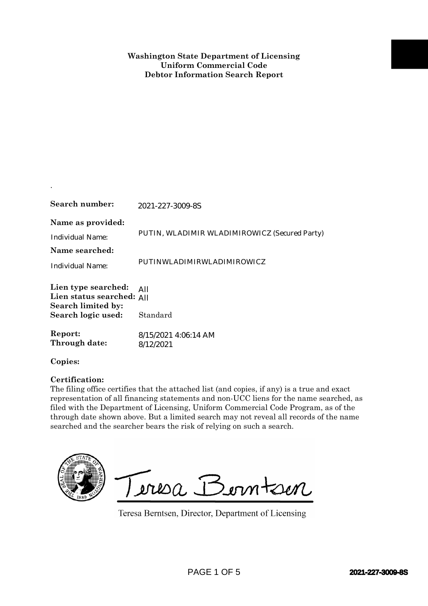| Search number:                                                         | 2021-227-3009-8S                                                                                                                                                                                                                                                                                                                                                                                                                              |  |
|------------------------------------------------------------------------|-----------------------------------------------------------------------------------------------------------------------------------------------------------------------------------------------------------------------------------------------------------------------------------------------------------------------------------------------------------------------------------------------------------------------------------------------|--|
| Name as provided:<br><b>Individual Name:</b><br>Name searched:         | PUTIN, WLADIMIR WLADIMIROWICZ (Secured Party)                                                                                                                                                                                                                                                                                                                                                                                                 |  |
| <b>Individual Name:</b>                                                | PUTINWLADIMIRWLADIMIROWICZ                                                                                                                                                                                                                                                                                                                                                                                                                    |  |
| Lien type searched:<br>Lien status searched: All<br>Search limited by: | All                                                                                                                                                                                                                                                                                                                                                                                                                                           |  |
| Search logic used:                                                     | Standard                                                                                                                                                                                                                                                                                                                                                                                                                                      |  |
| Report:<br>Through date:                                               | 8/15/2021 4:06:14 AM<br>8/12/2021                                                                                                                                                                                                                                                                                                                                                                                                             |  |
| Copies:                                                                |                                                                                                                                                                                                                                                                                                                                                                                                                                               |  |
| Certification:                                                         | The filing office certifies that the attached list (and copies, if any) is a true and exact<br>representation of all financing statements and non-UCC liens for the name searched, as<br>filed with the Department of Licensing, Uniform Commercial Code Program, as of the<br>through date shown above. But a limited search may not reveal all records of the name<br>searched and the searcher bears the risk of relying on such a search. |  |
|                                                                        | Teresa Berntsen<br>Teresa Berntsen, Director, Department of Licensing                                                                                                                                                                                                                                                                                                                                                                         |  |
|                                                                        | PAGE 1 OF 5<br>2021-227-3009-8S                                                                                                                                                                                                                                                                                                                                                                                                               |  |

.

## **Certification:**

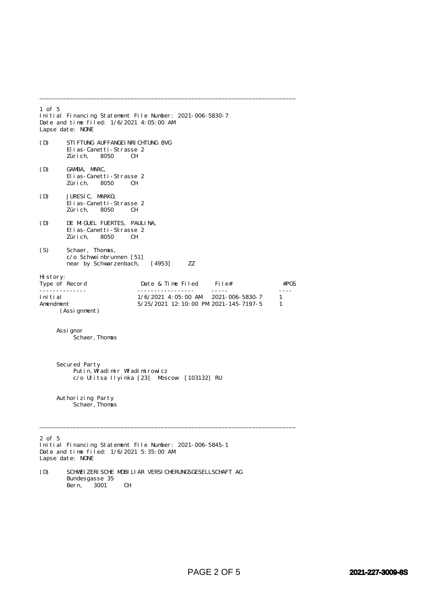1 of 5 Initial Financing Statement File Number: 2021-006-5830-7 Date and time filed: 1/6/2021 4:05:00 AM Lapse date: NONE (D) STIFTUNG AUFFANGEINRICHTUNG BVG Elias-Canetti-Strasse 2 Zürich, (D) GAMBA, MARC, Elias-Canetti-Strasse 2 Zürich, 8050 CH (D) JURESIC, MARKO, Elias-Canetti-Strasse 2<br>Zürich, 8050 CH Zürich, (D) DE MIGUEL FUERTES, PAULINA, Elias-Canetti-Strasse 2 Zürich, 8050 (S) Schaer, Thomas, c/o Schweinbrunnen [51] near by Schwarzenbach, [4953] ZZ History: Date & Time Filed File# #PGS -------------- ----------------- ----- ---- Initial 1/6/2021 4:05:00 AM 2021-006-5830-7 1 Amendment 5/25/2021 12:10:00 PM 2021-145-7197-5 1 (Assignment) Assignor Schaer,Thomas Secured Party Putin, Wladimir Wladimirowicz c/o Ulitsa Ilyinka [23] Moscow [103132] RU Authorizing Party Schaer, Thomas \_\_\_\_\_\_\_\_\_\_\_\_\_\_\_\_\_\_\_\_\_\_\_\_\_\_\_\_\_\_\_\_\_\_\_\_\_\_\_\_\_\_\_\_\_\_\_\_\_\_\_\_\_\_\_\_\_\_\_\_\_\_\_\_\_\_\_\_\_\_\_\_\_\_\_\_ 2 of 5 Initial Financing Statement File Number: 2021-006-5845-1 Date and time filed: 1/6/2021 5:35:00 AM Lapse date: NONE

\_\_\_\_\_\_\_\_\_\_\_\_\_\_\_\_\_\_\_\_\_\_\_\_\_\_\_\_\_\_\_\_\_\_\_\_\_\_\_\_\_\_\_\_\_\_\_\_\_\_\_\_\_\_\_\_\_\_\_\_\_\_\_\_\_\_\_\_\_\_\_\_\_\_\_\_

(D) SCHWEIZERISCHE MOBILIAR VERSICHERUNGSGESELLSCHAFT AG Bundesgasse 35<br>Bern, 3001 Bern, 3001 CH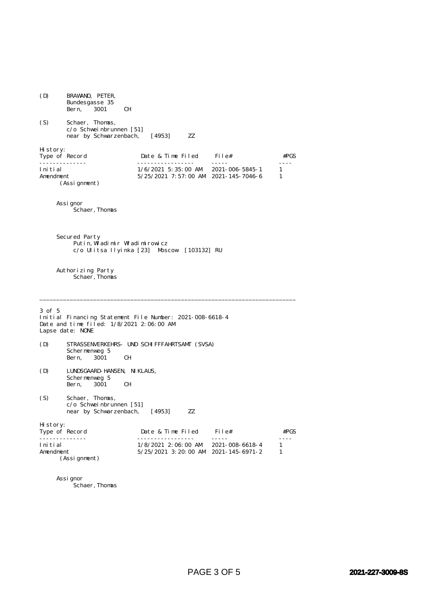(D) BRAWAND, PETER, Bundesgasse 35<br>Bern, 3001 Bern, 3001 CH (S) Schaer, Thomas, c/o Schweinbrunnen [51] near by Schwarzenbach, [4953] ZZ History:<br>Type of Record Date & Time Filed File#  $#PGS$ -------------- ----------------- ----- ----  $1/6/2021$  5:35:00 AM 2021-006-5845-1 Amendment 5/25/2021 7:57:00 AM 2021-145-7046-6 1 (Assignment) Assignor Schaer, Thomas Secured Party Putin,  $\tilde{M}$  adimir  $W$ ladimirowicz c/o Ulitsa Ilyinka [23] Moscow [103132] RU Authorizing Party Schaer, Thomas \_\_\_\_\_\_\_\_\_\_\_\_\_\_\_\_\_\_\_\_\_\_\_\_\_\_\_\_\_\_\_\_\_\_\_\_\_\_\_\_\_\_\_\_\_\_\_\_\_\_\_\_\_\_\_\_\_\_\_\_\_\_\_\_\_\_\_\_\_\_\_\_\_\_\_\_ 3 of 5 Initial Financing Statement File Number: 2021-008-6618-4 Date and time filed: 1/8/2021 2:06:00 AM Lapse date: NONE (D) STRASSENVERKEHRS- UND SCHIFFFAHRTSAMT (SVSA) Schermenweg 5 Bern, 3001 CH (D) LUNDSGAARD-HANSEN, NIKLAUS, Schermenweg 5<br>Bern 3001 Bern, 3001 CH (S) Schaer, Thomas, c/o Schweinbrunnen [51] near by Schwarzenbach, [4953] ZZ History:<br>Type of Record Date & Time Filed File# #PGS -------------- ----------------- ----- ----  $1/8/2021$  2:06:00 AM 2021-008-6618-4 Amendment 5/25/2021 3:20:00 AM 2021-145-6971-2 1 (Assignment) Assignor

s<br>Schaer, Thomas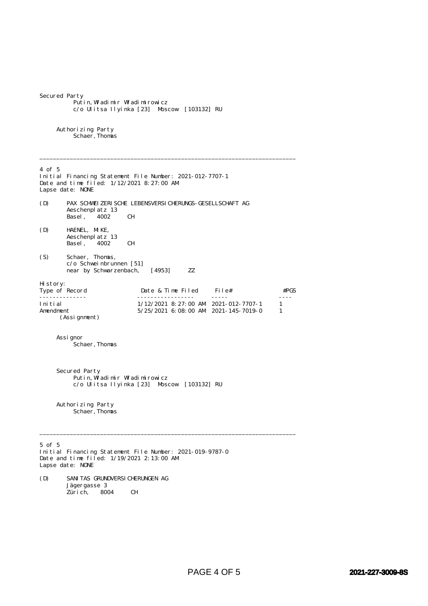| Secured Party                                          | Putin, Wladimir Wladimirowicz<br>c/o Ulitsa Ilyinka [23] Moscow [103132] RU                                                                                                                                                                                                                                                                                                                                                                                                                                                                                                  |        |
|--------------------------------------------------------|------------------------------------------------------------------------------------------------------------------------------------------------------------------------------------------------------------------------------------------------------------------------------------------------------------------------------------------------------------------------------------------------------------------------------------------------------------------------------------------------------------------------------------------------------------------------------|--------|
| Authorizing Party<br>Schaer, Thomas                    |                                                                                                                                                                                                                                                                                                                                                                                                                                                                                                                                                                              |        |
| $4$ of 5<br>Lapse date: NONE                           | Initial Financing Statement File Number: 2021-012-7707-1<br>Date and time filed: $1/12/2021$ 8:27:00 AM                                                                                                                                                                                                                                                                                                                                                                                                                                                                      |        |
| (D)<br>Aeschenplatz 13<br>Basel,                       | PAX SCHWEI ZERI SCHE LEBENSVERSI CHERUNGS- GESELLSCHAFT AG<br>4002<br>CН                                                                                                                                                                                                                                                                                                                                                                                                                                                                                                     |        |
| HAENEL, MIKE,<br>(D)<br>Aeschenplatz 13<br>Basel, 4002 | CН                                                                                                                                                                                                                                                                                                                                                                                                                                                                                                                                                                           |        |
| Schaer, Thomas,<br>(S)                                 | c/o Schweinbrunnen [51]<br>near by Schwarzenbach,<br>ZZ<br>[4953]                                                                                                                                                                                                                                                                                                                                                                                                                                                                                                            |        |
| Hi story:<br>Type of Record                            | Date & Time Filed<br>File#                                                                                                                                                                                                                                                                                                                                                                                                                                                                                                                                                   | #PGS   |
| .<br>Initial<br>Amendment<br>(Assignment)              | <u>.</u><br>$\frac{1}{2} \left( \frac{1}{2} \right) \left( \frac{1}{2} \right) \left( \frac{1}{2} \right) \left( \frac{1}{2} \right) \left( \frac{1}{2} \right) \left( \frac{1}{2} \right) \left( \frac{1}{2} \right) \left( \frac{1}{2} \right) \left( \frac{1}{2} \right) \left( \frac{1}{2} \right) \left( \frac{1}{2} \right) \left( \frac{1}{2} \right) \left( \frac{1}{2} \right) \left( \frac{1}{2} \right) \left( \frac{1}{2} \right) \left( \frac{1}{2} \right) \left( \frac$<br>$1/12/2021$ 8: 27: 00 AM 2021-012-7707-1<br>$5/25/2021$ 6:08:00 AM 2021-145-7019-0 | 1<br>1 |
| Assi gnor<br>Schaer, Thomas                            |                                                                                                                                                                                                                                                                                                                                                                                                                                                                                                                                                                              |        |
| Secured Party                                          | Putin, Wladimir Wladimirowicz<br>c/o Ulitsa Ilyinka [23] Moscow [103132] RU                                                                                                                                                                                                                                                                                                                                                                                                                                                                                                  |        |
| Authorizing Party<br>Schaer, Thomas                    |                                                                                                                                                                                                                                                                                                                                                                                                                                                                                                                                                                              |        |
| $5$ of $5$<br>Lapse date: NONE                         | Initial Financing Statement File Number: 2021-019-9787-0<br>Date and time filed: 1/19/2021 2:13:00 AM                                                                                                                                                                                                                                                                                                                                                                                                                                                                        |        |
| (D)<br>Jägergasse 3<br>Züri ch,                        | SANI TAS GRUNDVERSI CHERUNGEN AG<br>CН<br>8004                                                                                                                                                                                                                                                                                                                                                                                                                                                                                                                               |        |